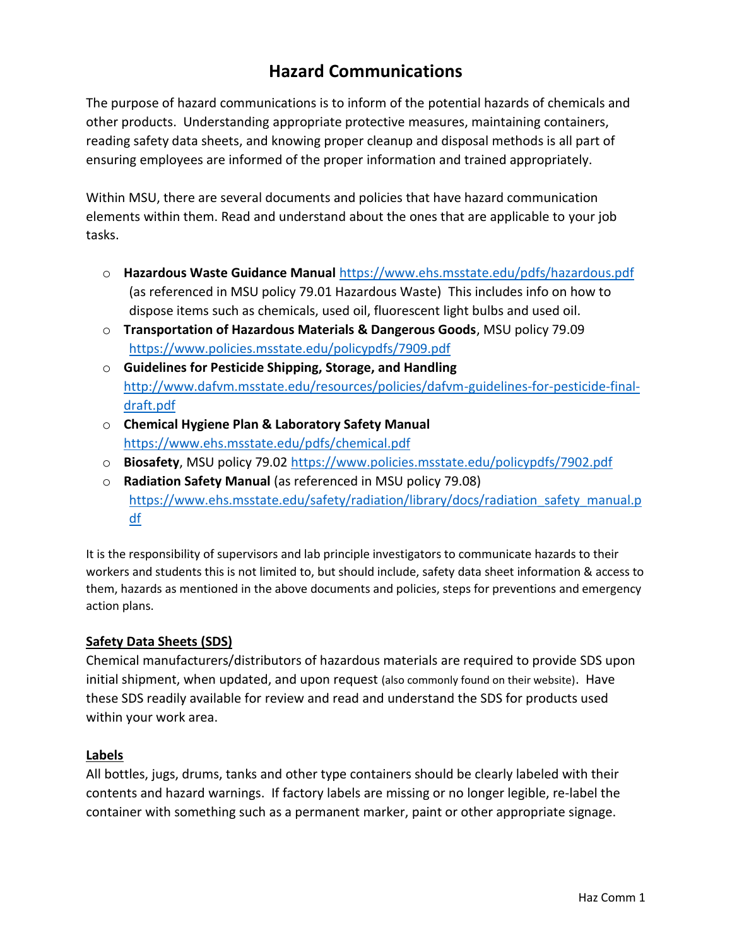## **Hazard Communications**

The purpose of hazard communications is to inform of the potential hazards of chemicals and other products. Understanding appropriate protective measures, maintaining containers, reading safety data sheets, and knowing proper cleanup and disposal methods is all part of ensuring employees are informed of the proper information and trained appropriately.

Within MSU, there are several documents and policies that have hazard communication elements within them. Read and understand about the ones that are applicable to your job tasks.

- o **Hazardous Waste Guidance Manual** <https://www.ehs.msstate.edu/pdfs/hazardous.pdf> (as referenced in MSU policy 79.01 Hazardous Waste) This includes info on how to dispose items such as chemicals, used oil, fluorescent light bulbs and used oil.
- o **Transportation of Hazardous Materials & Dangerous Goods**, MSU policy 79.09 <https://www.policies.msstate.edu/policypdfs/7909.pdf>
- o **Guidelines for Pesticide Shipping, Storage, and Handling** [http://www.dafvm.msstate.edu/resources/policies/dafvm-guidelines-for-pesticide-final](http://www.dafvm.msstate.edu/resources/policies/dafvm-guidelines-for-pesticide-final-draft.pdf)[draft.pdf](http://www.dafvm.msstate.edu/resources/policies/dafvm-guidelines-for-pesticide-final-draft.pdf)
- o **Chemical Hygiene Plan & Laboratory Safety Manual** <https://www.ehs.msstate.edu/pdfs/chemical.pdf>
- o **Biosafety**, MSU policy 79.02 <https://www.policies.msstate.edu/policypdfs/7902.pdf>
- o **Radiation Safety Manual** (as referenced in MSU policy 79.08) [https://www.ehs.msstate.edu/safety/radiation/library/docs/radiation\\_safety\\_manual.p](https://www.ehs.msstate.edu/safety/radiation/library/docs/radiation_safety_manual.pdf) [df](https://www.ehs.msstate.edu/safety/radiation/library/docs/radiation_safety_manual.pdf)

It is the responsibility of supervisors and lab principle investigators to communicate hazards to their workers and students this is not limited to, but should include, safety data sheet information & access to them, hazards as mentioned in the above documents and policies, steps for preventions and emergency action plans.

## **Safety Data Sheets (SDS)**

Chemical manufacturers/distributors of hazardous materials are required to provide SDS upon initial shipment, when updated, and upon request (also commonly found on their website). Have these SDS readily available for review and read and understand the SDS for products used within your work area.

## **Labels**

All bottles, jugs, drums, tanks and other type containers should be clearly labeled with their contents and hazard warnings. If factory labels are missing or no longer legible, re-label the container with something such as a permanent marker, paint or other appropriate signage.